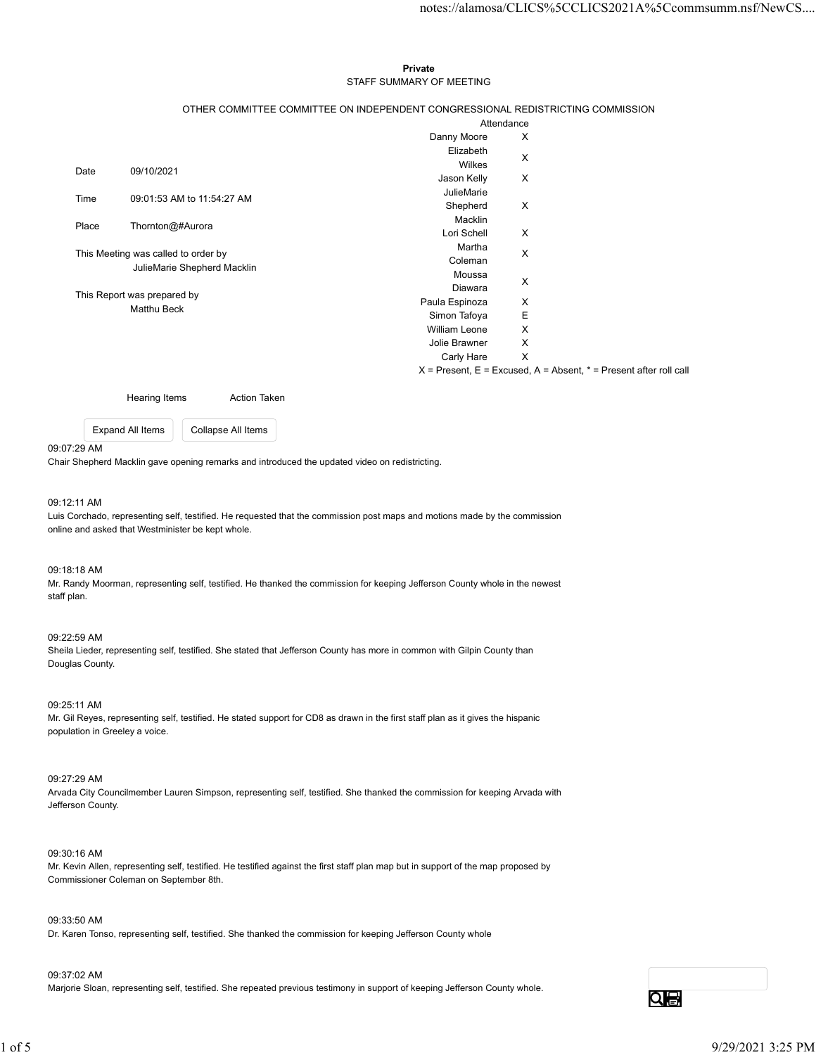#### Private **Private** and *Private* and *Private* and *Private* and *Private* and *Private* and *Private* and *Private* and *Private* and *Private* and *Private* and *Private* and *Private* and *Private* and *Private* and *Pri* STAFF SUMMARY OF MEETING

|             |                                                                                              |                                | notes://alamosa/CLICS%5CCLICS2021A%5Ccommsumm.nsf/NewCS                   |  |  |
|-------------|----------------------------------------------------------------------------------------------|--------------------------------|---------------------------------------------------------------------------|--|--|
|             |                                                                                              |                                |                                                                           |  |  |
|             |                                                                                              |                                |                                                                           |  |  |
|             |                                                                                              | Private                        |                                                                           |  |  |
|             | STAFF SUMMARY OF MEETING                                                                     |                                |                                                                           |  |  |
|             |                                                                                              |                                |                                                                           |  |  |
|             | OTHER COMMITTEE COMMITTEE ON INDEPENDENT CONGRESSIONAL REDISTRICTING COMMISSION              |                                |                                                                           |  |  |
|             |                                                                                              |                                | Attendance                                                                |  |  |
|             |                                                                                              | Danny Moore                    | $\boldsymbol{\mathsf{X}}$                                                 |  |  |
|             |                                                                                              | Elizabeth                      | $\boldsymbol{\mathsf{X}}$                                                 |  |  |
| Date        | 09/10/2021                                                                                   | Wilkes                         |                                                                           |  |  |
|             |                                                                                              | Jason Kelly<br>JulieMarie      | X                                                                         |  |  |
| Time        | 09:01:53 AM to 11:54:27 AM                                                                   | Shepherd                       | $\boldsymbol{\mathsf{X}}$                                                 |  |  |
|             |                                                                                              | Macklin                        |                                                                           |  |  |
| Place       | Thornton@#Aurora                                                                             | Lori Schell                    | $\boldsymbol{\mathsf{X}}$                                                 |  |  |
|             | This Meeting was called to order by                                                          | Martha                         | $\boldsymbol{\mathsf{X}}$                                                 |  |  |
|             | JulieMarie Shepherd Macklin                                                                  | Coleman                        |                                                                           |  |  |
|             |                                                                                              | Moussa                         | $\mathsf X$                                                               |  |  |
|             | This Report was prepared by                                                                  | Diawara                        |                                                                           |  |  |
| Matthu Beck |                                                                                              | Paula Espinoza<br>Simon Tafoya | $\boldsymbol{\mathsf{X}}$<br>Ε                                            |  |  |
|             |                                                                                              | William Leone                  | X                                                                         |  |  |
|             |                                                                                              | Jolie Brawner                  | X                                                                         |  |  |
|             |                                                                                              | Carly Hare                     | $\mathsf{X}$                                                              |  |  |
|             |                                                                                              |                                | $X =$ Present, $E =$ Excused, $A =$ Absent, $* =$ Present after roll call |  |  |
|             |                                                                                              |                                |                                                                           |  |  |
|             | Hearing Items<br>Action Taken                                                                |                                |                                                                           |  |  |
|             | Expand All Items<br>Collapse All Items                                                       |                                |                                                                           |  |  |
| 07:29 AM    |                                                                                              |                                |                                                                           |  |  |
|             | air Shepherd Macklin gave opening remarks and introduced the updated video on redistricting. |                                |                                                                           |  |  |
|             |                                                                                              |                                |                                                                           |  |  |

## 09:07:29 AM

#### 09:12:11 AM

Luis Corchado, representing self, testified. He requested that the commission post maps and motions made by the commission online and asked that Westminister be kept whole.

## 09:18:18 AM

Mr. Randy Moorman, representing self, testified. He thanked the commission for keeping Jefferson County whole in the newest staff plan.

### 09:22:59 AM

Sheila Lieder, representing self, testified. She stated that Jefferson County has more in common with Gilpin County than Douglas County.

09:25:11 AM

Mr. Gil Reyes, representing self, testified. He stated support for CD8 as drawn in the first staff plan as it gives the hispanic population in Greeley a voice.

#### 09:27:29 AM

Arvada City Councilmember Lauren Simpson, representing self, testified. She thanked the commission for keeping Arvada with Jefferson County.

#### 09:30:16 AM

Mr. Kevin Allen, representing self, testified. He testified against the first staff plan map but in support of the map proposed by Commissioner Coleman on September 8th. 02-25:14 AM<br>IM-Gil Reyes, representing soll, testified. He stated support for CD8 as drawn in the first staff plan as it gives the hispanic<br>population in Creativy avoide.<br>The proposition in Creativy avoide, the state of th

#### 09:33:50 AM

Dr. Karen Tonso, representing self, testified. She thanked the commission for keeping Jefferson County whole

# 09:37:02 AM

Marjorie Sloan, representing self, testified. She repeated previous testimony in support of keeping Jefferson County whole.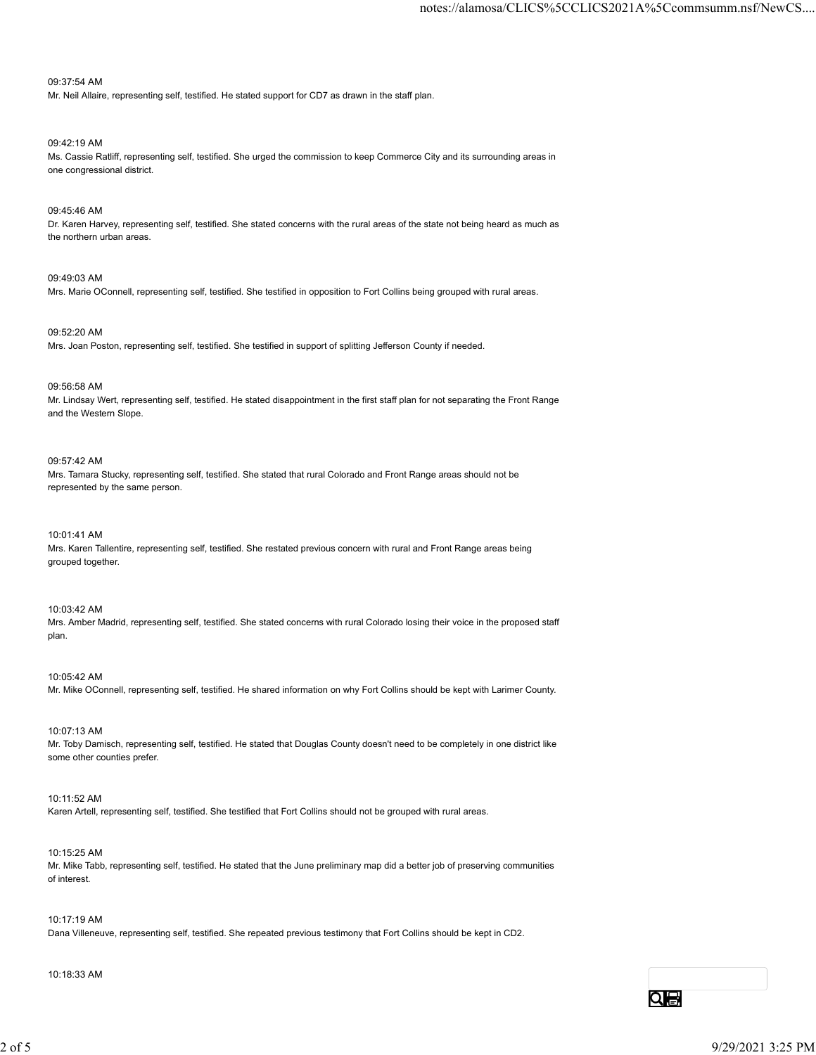# 09:37:54 AM

Mr. Neil Allaire, representing self, testified. He stated support for CD7 as drawn in the staff plan.

# 09:42:19 AM

Ms. Cassie Ratliff, representing self, testified. She urged the commission to keep Commerce City and its surrounding areas in one congressional district.

# 09:45:46 AM

Dr. Karen Harvey, representing self, testified. She stated concerns with the rural areas of the state not being heard as much as the northern urban areas.

09:49:03 AM

Mrs. Marie OConnell, representing self, testified. She testified in opposition to Fort Collins being grouped with rural areas.

09:52:20 AM Mrs. Joan Poston, representing self, testified. She testified in support of splitting Jefferson County if needed.

09:56:58 AM

Mr. Lindsay Wert, representing self, testified. He stated disappointment in the first staff plan for not separating the Front Range and the Western Slope.

# 09:57:42 AM

Mrs. Tamara Stucky, representing self, testified. She stated that rural Colorado and Front Range areas should not be represented by the same person.

10:01:41 AM

Mrs. Karen Tallentire, representing self, testified. She restated previous concern with rural and Front Range areas being grouped together.

10:03:42 AM

Mrs. Amber Madrid, representing self, testified. She stated concerns with rural Colorado losing their voice in the proposed staff plan.

10:05:42 AM

Mr. Mike OConnell, representing self, testified. He shared information on why Fort Collins should be kept with Larimer County.

10:07:13 AM Mr. Toby Damisch, representing self, testified. He stated that Douglas County doesn't need to be completely in one district like some other counties prefer. 10:07:13 AM<br>Mr. Toty Darmsch, representing self, testified. He stated that Douglas County doesn't need to be completely in one district like<br>some other countes prefer.<br>10:11:52 AM<br>Karen Artell, representing self, testified

10:11:52 AM Karen Artell, representing self, testified. She testified that Fort Collins should not be grouped with rural areas.

10:15:25 AM Mr. Mike Tabb, representing self, testified. He stated that the June preliminary map did a better job of preserving communities of interest.

10:17:19 AM Dana Villeneuve, representing self, testified. She repeated previous testimony that Fort Collins should be kept in CD2.

10:18:33 AM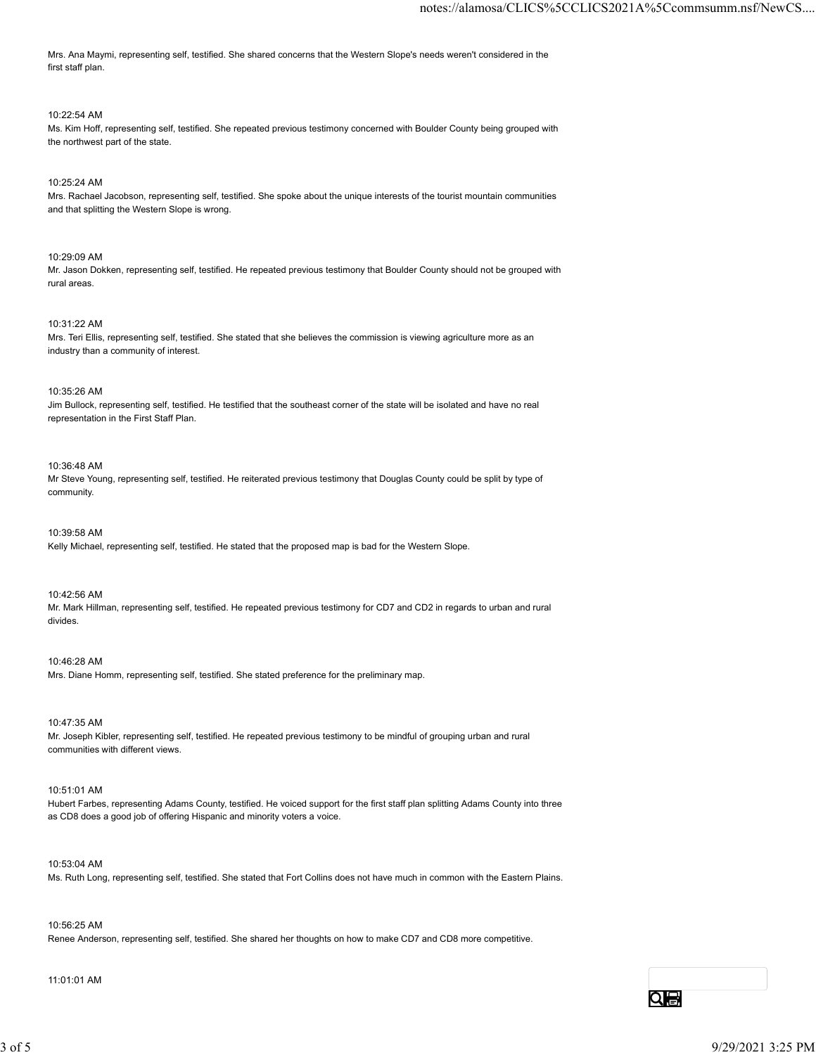Mrs. Ana Maymi, representing self, testified. She shared concerns that the Western Slope's needs weren't considered in the first staff plan.

## 10:22:54 AM

Ms. Kim Hoff, representing self, testified. She repeated previous testimony concerned with Boulder County being grouped with the northwest part of the state.

# 10:25:24 AM

Mrs. Rachael Jacobson, representing self, testified. She spoke about the unique interests of the tourist mountain communities and that splitting the Western Slope is wrong.

10:29:09 AM

Mr. Jason Dokken, representing self, testified. He repeated previous testimony that Boulder County should not be grouped with rural areas.

### 10:31:22 AM

Mrs. Teri Ellis, representing self, testified. She stated that she believes the commission is viewing agriculture more as an industry than a community of interest.

## 10:35:26 AM

Jim Bullock, representing self, testified. He testified that the southeast corner of the state will be isolated and have no real representation in the First Staff Plan.

10:36:48 AM

Mr Steve Young, representing self, testified. He reiterated previous testimony that Douglas County could be split by type of community.

10:39:58 AM Kelly Michael, representing self, testified. He stated that the proposed map is bad for the Western Slope.

10:42:56 AM

Mr. Mark Hillman, representing self, testified. He repeated previous testimony for CD7 and CD2 in regards to urban and rural divides.

10:46:28 AM Mrs. Diane Homm, representing self, testified. She stated preference for the preliminary map.

10:47:35 AM Mr. Joseph Kibler, representing self, testified. He repeated previous testimony to be mindful of grouping urban and rural communities with different views. 10.47:35 AM<br>M. Joseph Kibier, representing self, testified. He repeated previous testimony to be mindful of grouping urban and rural<br>communities with different views.<br>10.51054 AM<br>Hubert Farbes, representing Adams County, t

10:51:01 AM

Hubert Farbes, representing Adams County, testified. He voiced support for the first staff plan splitting Adams County into three as CD8 does a good job of offering Hispanic and minority voters a voice.

10:53:04 AM

Ms. Ruth Long, representing self, testified. She stated that Fort Collins does not have much in common with the Eastern Plains.

10:56:25 AM

Renee Anderson, representing self, testified. She shared her thoughts on how to make CD7 and CD8 more competitive.

11:01:01 AM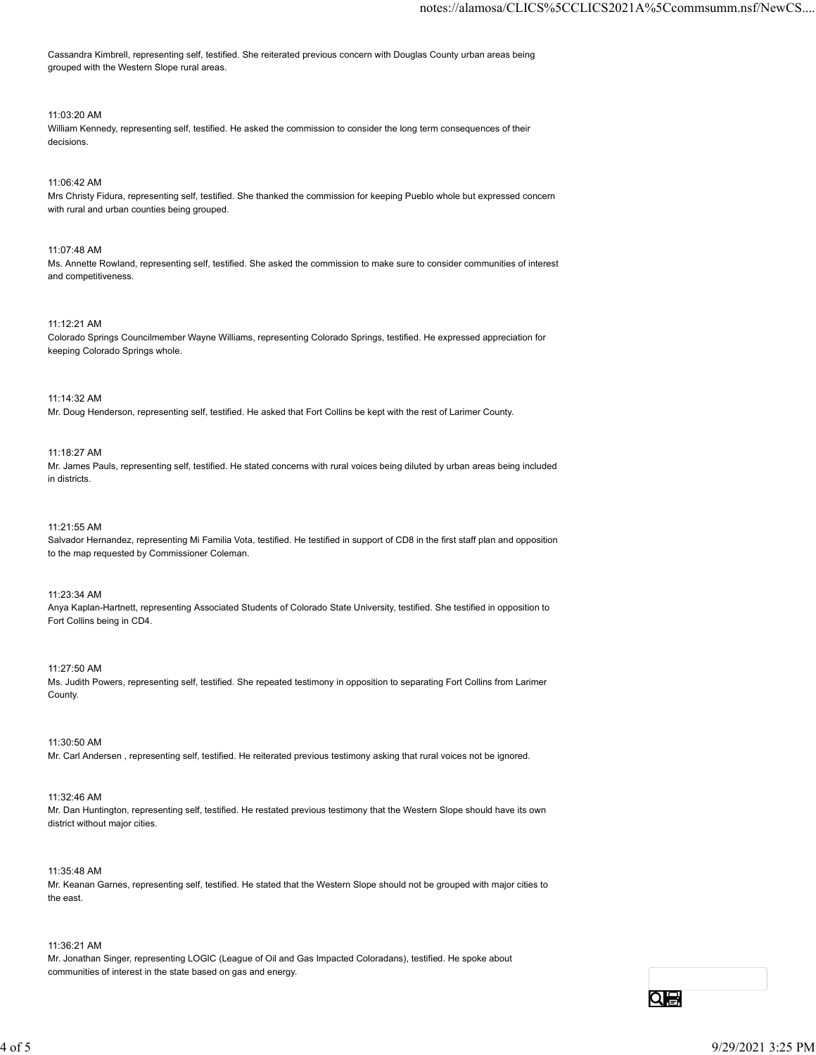Cassandra Kimbrell, representing self, testified. She reiterated previous concern with Douglas County urban areas being grouped with the Western Slope rural areas.

## 11:03:20 AM

William Kennedy, representing self, testified. He asked the commission to consider the long term consequences of their decisions.

## 11:06:42 AM

Mrs Christy Fidura, representing self, testified. She thanked the commission for keeping Pueblo whole but expressed concern with rural and urban counties being grouped.

## 11:07:48 AM

Ms. Annette Rowland, representing self, testified. She asked the commission to make sure to consider communities of interest and competitiveness.

### 11:12:21 AM

Colorado Springs Councilmember Wayne Williams, representing Colorado Springs, testified. He expressed appreciation for keeping Colorado Springs whole.

### 11:14:32 AM

Mr. Doug Henderson, representing self, testified. He asked that Fort Collins be kept with the rest of Larimer County.

#### 11:18:27 AM

Mr. James Pauls, representing self, testified. He stated concerns with rural voices being diluted by urban areas being included in districts.

## 11:21:55 AM

Salvador Hernandez, representing Mi Familia Vota, testified. He testified in support of CD8 in the first staff plan and opposition to the map requested by Commissioner Coleman.

#### 11:23:34 AM

Anya Kaplan-Hartnett, representing Associated Students of Colorado State University, testified. She testified in opposition to Fort Collins being in CD4.

#### 11:27:50 AM

Ms. Judith Powers, representing self, testified. She repeated testimony in opposition to separating Fort Collins from Larimer County.

#### 11:30:50 AM

Mr. Carl Andersen , representing self, testified. He reiterated previous testimony asking that rural voices not be ignored.

#### 11:32:46 AM

Mr. Dan Huntington, representing self, testified. He restated previous testimony that the Western Slope should have its own district without major cities. 11:30:50 AM<br>
Mr. Carl Andersen , representing self, testified. He reistated previous testimony asking that rural voices not be ignored.<br>
11:32:46 AM<br>
Mr. Dain Huntington, representing self, testified. He restated previous

## 11:35:48 AM

Mr. Keanan Garnes, representing self, testified. He stated that the Western Slope should not be grouped with major cities to the east.

#### 11:36:21 AM

Mr. Jonathan Singer, representing LOGIC (League of Oil and Gas Impacted Coloradans), testified. He spoke about communities of interest in the state based on gas and energy.